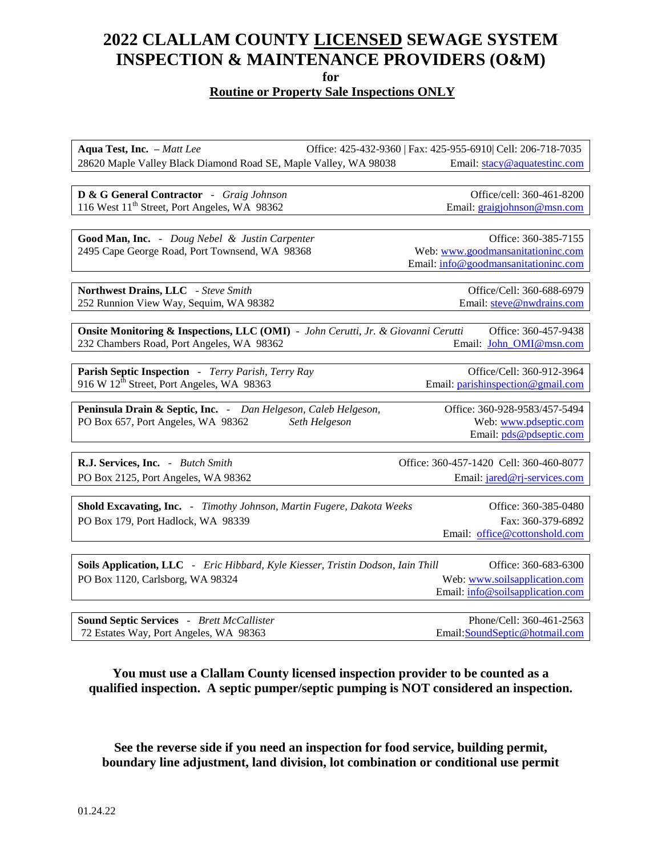## **2022 CLALLAM COUNTY LICENSED SEWAGE SYSTEM INSPECTION & MAINTENANCE PROVIDERS (O&M)**

**for**

#### **Routine or Property Sale Inspections ONLY**

**Aqua Test, Inc.** – *Matt Lee* **Office: 425-432-9360** | Fax: 425-955-6910 | Cell: 206-718-7035 28620 Maple Valley Black Diamond Road SE, Maple Valley, WA 98038 Email[: stacy@aquatestinc.com](mailto:stacy@aquatestinc.com)

**D & G General Contractor** -*Graig Johnson* Office/cell: 360-461-8200 116 West 11<sup>th</sup> Street, Port Angeles, WA 98362 **Email:** graigiohnson @msn.com

Good Man, Inc. - Doug Nebel & Justin Carpenter **Carpenter** Office: 360-385-7155 2495 Cape George Road, Port Townsend, WA 98368 Web: [www.goodmansanitationinc.com](file://///nv1067/dcddata/eh/ONSITE/Industry%20Lists/2016%20Lists/www.goodmansanitationinc.com)

Email[: info@goodmansanitationinc.com](mailto:info@goodmansanitationinc.com)

**Northwest Drains, LLC** *- Steve Smith* Office/Cell: 360-688-6979 252 Runnion View Way, Sequim, WA 98382 Email: [steve@nwdrains.com](mailto:steve@nwdrains.com)

**Onsite Monitoring & Inspections, LLC (OMI)** *- John Cerutti, Jr. & Giovanni Cerutti* Office: 360-457-9438 232 Chambers Road, Port Angeles, WA 98362 Email: [John\\_OMI@msn.com](mailto:John_OMI@msn.com)

**Parish Septic Inspection** *- Terry Parish, Terry Ray* Office/Cell: 360-912-3964 916 W 12th Street, Port Angeles, WA 98363 Email: [parishinspection@gmail.com](mailto:parishinspection@gmail.com) 

**Peninsula Drain & Septic, Inc.** *- Dan Helgeson, Caleb Helgeson,* Office: 360-928-9583/457-5494 PO Box 657, Port Angeles, WA 98362 *Seth Helgeson* Web: [www.pdseptic.com](http://www.pdseptic.com/) Email: [pds@pdseptic.com](mailto:pds@pdseptic.com)

**R.J. Services, Inc.** *- Butch Smith* Office: 360-457-1420 Cell: 360-460-8077 PO Box 2125, Port Angeles, WA 98362 Email: [jared@rj-services.com](mailto:jared@rj-services.com)

Email: [office@cottonshold.com](mailto:office@cottonshold.com)

**Shold Excavating, Inc.** *- Timothy Johnson, Martin Fugere, Dakota Weeks* Office: 360-385-0480 PO Box 179, Port Hadlock, WA 98339 Fax: 360-379-6892

**Soils Application, LLC** *- Eric Hibbard, Kyle Kiesser, Tristin Dodson, Iain Thill* Office: 360-683-6300 PO Box 1120, Carlsborg, WA 98324 Web: [www.soilsapplication.com](file://///nv1067/dcddata/eh/ONSITE/Industry%20Lists/2016%20Lists/www.soilsapplication.com) Email: [info@soilsapplication.com](mailto:info@soilsapplication.com)

**Sound Septic Services** - *Brett McCallister* Phone/Cell: 360-461-2563 72 Estates Way, Port Angeles, WA 98363 Email[:SoundSeptic@hotmail.com](mailto:SoundSeptic@hotmail.com)

**You must use a Clallam County licensed inspection provider to be counted as a qualified inspection. A septic pumper/septic pumping is NOT considered an inspection.**

**See the reverse side if you need an inspection for food service, building permit, boundary line adjustment, land division, lot combination or conditional use permit**